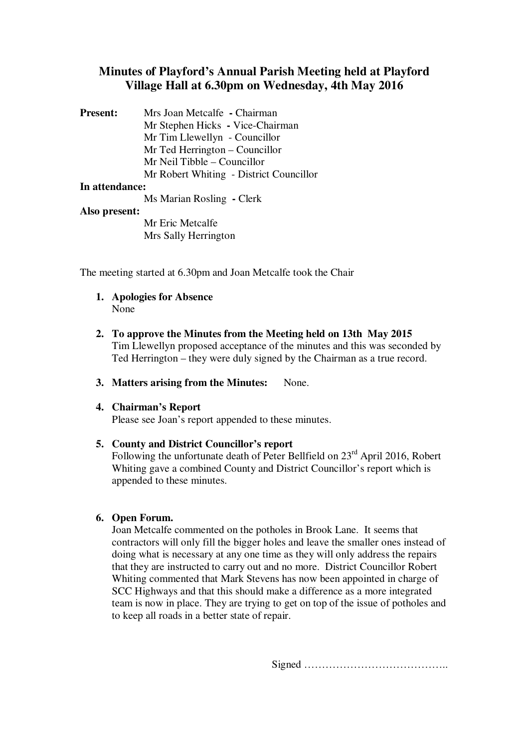# **Minutes of Playford's Annual Parish Meeting held at Playford Village Hall at 6.30pm on Wednesday, 4th May 2016**

| <b>Present:</b> | Mrs Joan Metcalfe - Chairman            |
|-----------------|-----------------------------------------|
|                 | Mr Stephen Hicks - Vice-Chairman        |
|                 | Mr Tim Llewellyn - Councillor           |
|                 | Mr Ted Herrington – Councillor          |
|                 | Mr Neil Tibble – Councillor             |
|                 | Mr Robert Whiting - District Councillor |
| In attendance:  |                                         |

## Ms Marian Rosling **-** Clerk

#### **Also present:**

Mr Eric Metcalfe Mrs Sally Herrington

The meeting started at 6.30pm and Joan Metcalfe took the Chair

- **1. Apologies for Absence** None
- **2. To approve the Minutes from the Meeting held on 13th May 2015** Tim Llewellyn proposed acceptance of the minutes and this was seconded by Ted Herrington – they were duly signed by the Chairman as a true record.
- **3. Matters arising from the Minutes:** None.
- **4. Chairman's Report**

Please see Joan's report appended to these minutes.

### **5. County and District Councillor's report**

Following the unfortunate death of Peter Bellfield on 23<sup>rd</sup> April 2016, Robert Whiting gave a combined County and District Councillor's report which is appended to these minutes.

#### **6. Open Forum.**

Joan Metcalfe commented on the potholes in Brook Lane. It seems that contractors will only fill the bigger holes and leave the smaller ones instead of doing what is necessary at any one time as they will only address the repairs that they are instructed to carry out and no more. District Councillor Robert Whiting commented that Mark Stevens has now been appointed in charge of SCC Highways and that this should make a difference as a more integrated team is now in place. They are trying to get on top of the issue of potholes and to keep all roads in a better state of repair.

Signed …………………………………..